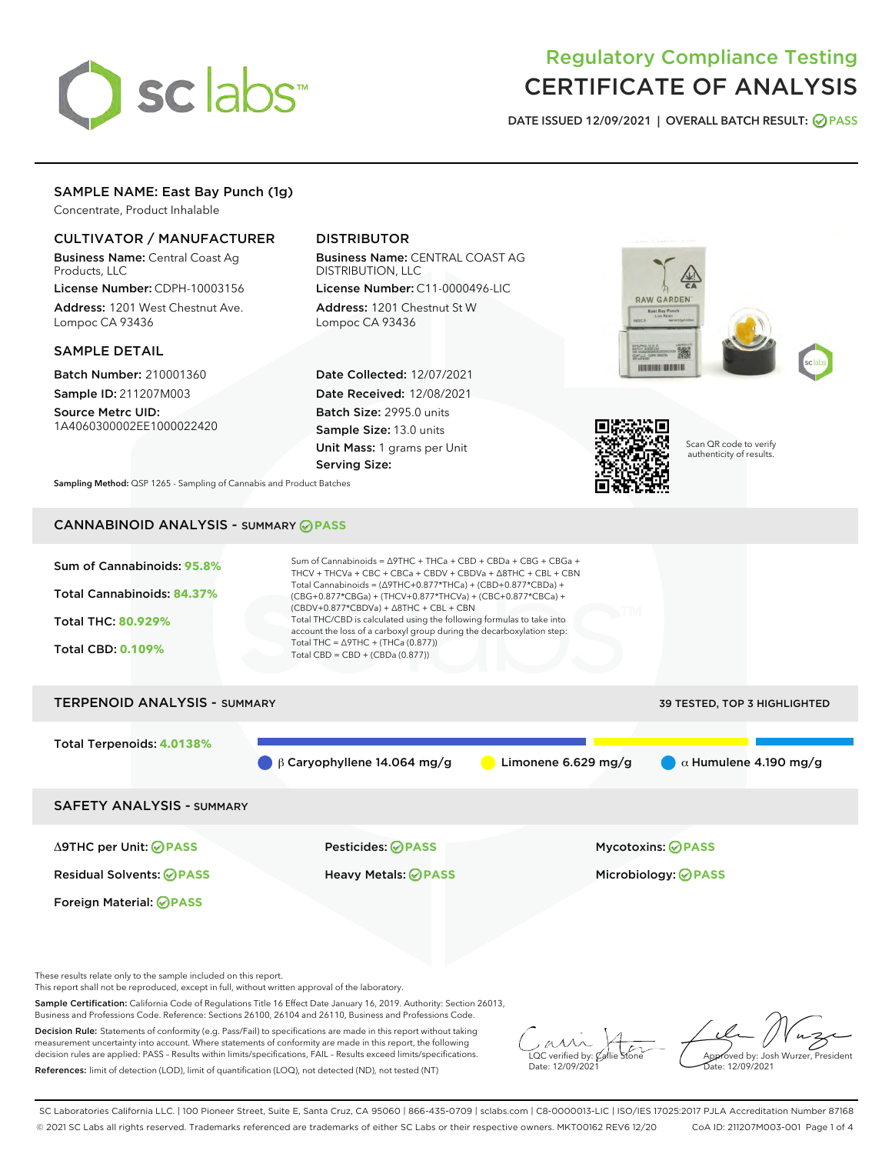

# Regulatory Compliance Testing CERTIFICATE OF ANALYSIS

DATE ISSUED 12/09/2021 | OVERALL BATCH RESULT: @ PASS

# SAMPLE NAME: East Bay Punch (1g)

Concentrate, Product Inhalable

## CULTIVATOR / MANUFACTURER

Business Name: Central Coast Ag Products, LLC

License Number: CDPH-10003156 Address: 1201 West Chestnut Ave. Lompoc CA 93436

### SAMPLE DETAIL

Batch Number: 210001360 Sample ID: 211207M003

Source Metrc UID: 1A4060300002EE1000022420

# DISTRIBUTOR

Business Name: CENTRAL COAST AG DISTRIBUTION, LLC License Number: C11-0000496-LIC

Address: 1201 Chestnut St W Lompoc CA 93436

Date Collected: 12/07/2021 Date Received: 12/08/2021 Batch Size: 2995.0 units Sample Size: 13.0 units Unit Mass: 1 grams per Unit Serving Size:





Scan QR code to verify authenticity of results.

Sampling Method: QSP 1265 - Sampling of Cannabis and Product Batches

# CANNABINOID ANALYSIS - SUMMARY **PASS**



These results relate only to the sample included on this report.

This report shall not be reproduced, except in full, without written approval of the laboratory.

Sample Certification: California Code of Regulations Title 16 Effect Date January 16, 2019. Authority: Section 26013, Business and Professions Code. Reference: Sections 26100, 26104 and 26110, Business and Professions Code.

Decision Rule: Statements of conformity (e.g. Pass/Fail) to specifications are made in this report without taking measurement uncertainty into account. Where statements of conformity are made in this report, the following decision rules are applied: PASS – Results within limits/specifications, FAIL – Results exceed limits/specifications. References: limit of detection (LOD), limit of quantification (LOQ), not detected (ND), not tested (NT)

 $\overline{\text{C}}$  verified by:  $\mathcal C$ Date: 12/09/2021

Aved by: Josh Wurzer, President ate: 12/09/2021

SC Laboratories California LLC. | 100 Pioneer Street, Suite E, Santa Cruz, CA 95060 | 866-435-0709 | sclabs.com | C8-0000013-LIC | ISO/IES 17025:2017 PJLA Accreditation Number 87168 © 2021 SC Labs all rights reserved. Trademarks referenced are trademarks of either SC Labs or their respective owners. MKT00162 REV6 12/20 CoA ID: 211207M003-001 Page 1 of 4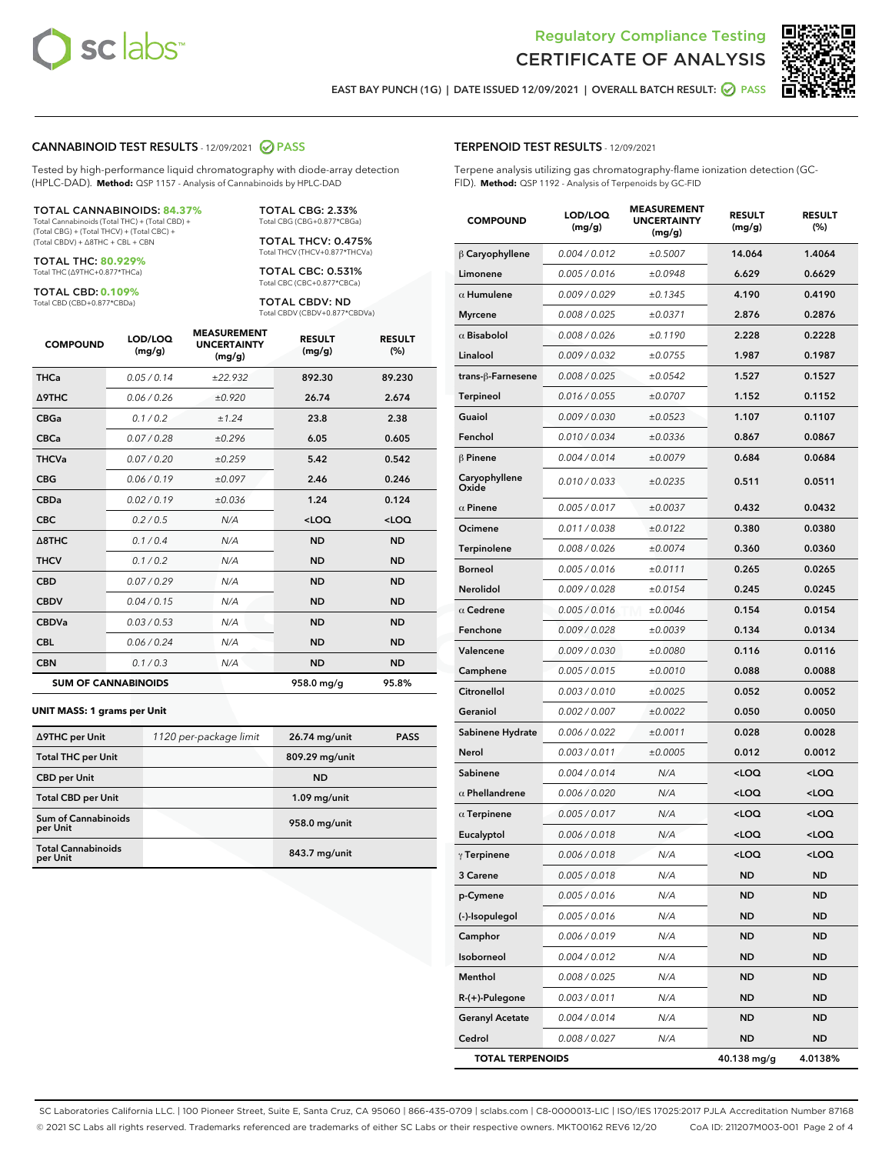



EAST BAY PUNCH (1G) | DATE ISSUED 12/09/2021 | OVERALL BATCH RESULT: 2 PASS

#### CANNABINOID TEST RESULTS - 12/09/2021 2 PASS

Tested by high-performance liquid chromatography with diode-array detection (HPLC-DAD). **Method:** QSP 1157 - Analysis of Cannabinoids by HPLC-DAD

#### TOTAL CANNABINOIDS: **84.37%**

Total Cannabinoids (Total THC) + (Total CBD) + (Total CBG) + (Total THCV) + (Total CBC) + (Total CBDV) + ∆8THC + CBL + CBN

TOTAL THC: **80.929%** Total THC (∆9THC+0.877\*THCa)

TOTAL CBD: **0.109%**

Total CBD (CBD+0.877\*CBDa)

TOTAL CBG: 2.33% Total CBG (CBG+0.877\*CBGa)

TOTAL THCV: 0.475% Total THCV (THCV+0.877\*THCVa)

TOTAL CBC: 0.531% Total CBC (CBC+0.877\*CBCa)

TOTAL CBDV: ND Total CBDV (CBDV+0.877\*CBDVa)

| <b>COMPOUND</b>  | LOD/LOQ<br>(mg/g)          | <b>MEASUREMENT</b><br><b>UNCERTAINTY</b><br>(mg/g) | <b>RESULT</b><br>(mg/g) | <b>RESULT</b><br>(%) |
|------------------|----------------------------|----------------------------------------------------|-------------------------|----------------------|
| <b>THCa</b>      | 0.05 / 0.14                | ±22.932                                            | 892.30                  | 89.230               |
| <b>A9THC</b>     | 0.06 / 0.26                | ±0.920                                             | 26.74                   | 2.674                |
| <b>CBGa</b>      | 0.1 / 0.2                  | ±1.24                                              | 23.8                    | 2.38                 |
| <b>CBCa</b>      | 0.07/0.28                  | ±0.296                                             | 6.05                    | 0.605                |
| <b>THCVa</b>     | 0.07/0.20                  | ±0.259                                             | 5.42                    | 0.542                |
| <b>CBG</b>       | 0.06/0.19                  | ±0.097                                             | 2.46                    | 0.246                |
| <b>CBDa</b>      | 0.02/0.19                  | ±0.036                                             | 1.24                    | 0.124                |
| <b>CBC</b>       | 0.2 / 0.5                  | N/A                                                | $<$ LOQ                 | $<$ LOQ              |
| $\triangle$ 8THC | 0.1/0.4                    | N/A                                                | <b>ND</b>               | <b>ND</b>            |
| <b>THCV</b>      | 0.1 / 0.2                  | N/A                                                | <b>ND</b>               | <b>ND</b>            |
| <b>CBD</b>       | 0.07/0.29                  | N/A                                                | <b>ND</b>               | <b>ND</b>            |
| <b>CBDV</b>      | 0.04 / 0.15                | N/A                                                | <b>ND</b>               | <b>ND</b>            |
| <b>CBDVa</b>     | 0.03 / 0.53                | N/A                                                | <b>ND</b>               | <b>ND</b>            |
| <b>CBL</b>       | 0.06 / 0.24                | N/A                                                | <b>ND</b>               | <b>ND</b>            |
| <b>CBN</b>       | 0.1/0.3                    | N/A                                                | <b>ND</b>               | <b>ND</b>            |
|                  | <b>SUM OF CANNABINOIDS</b> |                                                    | 958.0 mg/g              | 95.8%                |

#### **UNIT MASS: 1 grams per Unit**

| ∆9THC per Unit                        | 1120 per-package limit | 26.74 mg/unit  | <b>PASS</b> |
|---------------------------------------|------------------------|----------------|-------------|
| <b>Total THC per Unit</b>             |                        | 809.29 mg/unit |             |
| <b>CBD</b> per Unit                   |                        | <b>ND</b>      |             |
| <b>Total CBD per Unit</b>             |                        | $1.09$ mg/unit |             |
| Sum of Cannabinoids<br>per Unit       |                        | 958.0 mg/unit  |             |
| <b>Total Cannabinoids</b><br>per Unit |                        | 843.7 mg/unit  |             |

#### TERPENOID TEST RESULTS - 12/09/2021

Terpene analysis utilizing gas chromatography-flame ionization detection (GC-FID). **Method:** QSP 1192 - Analysis of Terpenoids by GC-FID

| <b>COMPOUND</b>         | LOD/LOQ<br>(mg/g) | <b>MEASUREMENT</b><br><b>UNCERTAINTY</b><br>(mg/g) | <b>RESULT</b><br>(mg/g)                          | <b>RESULT</b><br>(%) |
|-------------------------|-------------------|----------------------------------------------------|--------------------------------------------------|----------------------|
| $\beta$ Caryophyllene   | 0.004 / 0.012     | ±0.5007                                            | 14.064                                           | 1.4064               |
| Limonene                | 0.005 / 0.016     | ±0.0948                                            | 6.629                                            | 0.6629               |
| $\alpha$ Humulene       | 0.009 / 0.029     | ±0.1345                                            | 4.190                                            | 0.4190               |
| <b>Myrcene</b>          | 0.008 / 0.025     | ±0.0371                                            | 2.876                                            | 0.2876               |
| $\alpha$ Bisabolol      | 0.008 / 0.026     | ±0.1190                                            | 2.228                                            | 0.2228               |
| Linalool                | 0.009 / 0.032     | ±0.0755                                            | 1.987                                            | 0.1987               |
| trans-ß-Farnesene       | 0.008 / 0.025     | ±0.0542                                            | 1.527                                            | 0.1527               |
| <b>Terpineol</b>        | 0.016 / 0.055     | ±0.0707                                            | 1.152                                            | 0.1152               |
| Guaiol                  | 0.009 / 0.030     | ±0.0523                                            | 1.107                                            | 0.1107               |
| Fenchol                 | 0.010 / 0.034     | ±0.0336                                            | 0.867                                            | 0.0867               |
| $\beta$ Pinene          | 0.004 / 0.014     | ±0.0079                                            | 0.684                                            | 0.0684               |
| Caryophyllene<br>Oxide  | 0.010 / 0.033     | ±0.0235                                            | 0.511                                            | 0.0511               |
| $\alpha$ Pinene         | 0.005 / 0.017     | ±0.0037                                            | 0.432                                            | 0.0432               |
| Ocimene                 | 0.011 / 0.038     | ±0.0122                                            | 0.380                                            | 0.0380               |
| Terpinolene             | 0.008 / 0.026     | ±0.0074                                            | 0.360                                            | 0.0360               |
| <b>Borneol</b>          | 0.005 / 0.016     | ±0.0111                                            | 0.265                                            | 0.0265               |
| Nerolidol               | 0.009 / 0.028     | ±0.0154                                            | 0.245                                            | 0.0245               |
| $\alpha$ Cedrene        | 0.005 / 0.016     | ±0.0046                                            | 0.154                                            | 0.0154               |
| Fenchone                | 0.009 / 0.028     | ±0.0039                                            | 0.134                                            | 0.0134               |
| Valencene               | 0.009 / 0.030     | ±0.0080                                            | 0.116                                            | 0.0116               |
| Camphene                | 0.005 / 0.015     | ±0.0010                                            | 0.088                                            | 0.0088               |
| Citronellol             | 0.003 / 0.010     | ±0.0025                                            | 0.052                                            | 0.0052               |
| Geraniol                | 0.002 / 0.007     | ±0.0022                                            | 0.050                                            | 0.0050               |
| Sabinene Hydrate        | 0.006 / 0.022     | ±0.0011                                            | 0.028                                            | 0.0028               |
| Nerol                   | 0.003 / 0.011     | ±0.0005                                            | 0.012                                            | 0.0012               |
| Sabinene                | 0.004 / 0.014     | N/A                                                | $<$ LOQ                                          | <loq< th=""></loq<>  |
| $\alpha$ Phellandrene   | 0.006 / 0.020     | N/A                                                | <loq< th=""><th><loq< th=""></loq<></th></loq<>  | <loq< th=""></loq<>  |
| $\alpha$ Terpinene      | 0.005 / 0.017     | N/A                                                | <loq< th=""><th><loq< th=""></loq<></th></loq<>  | <loq< th=""></loq<>  |
| Eucalyptol              | 0.006 / 0.018     | N/A                                                | <loq< th=""><th><loq< th=""></loq<></th></loq<>  | <loq< th=""></loq<>  |
| $\gamma$ Terpinene      | 0.006 / 0.018     | N/A                                                | <loq< th=""><th><math>&lt;</math>LOQ</th></loq<> | $<$ LOQ              |
| 3 Carene                | 0.005 / 0.018     | N/A                                                | ND                                               | ND                   |
| p-Cymene                | 0.005 / 0.016     | N/A                                                | <b>ND</b>                                        | <b>ND</b>            |
| (-)-Isopulegol          | 0.005 / 0.016     | N/A                                                | <b>ND</b>                                        | <b>ND</b>            |
| Camphor                 | 0.006 / 0.019     | N/A                                                | ND                                               | ND                   |
| Isoborneol              | 0.004 / 0.012     | N/A                                                | ND                                               | ND                   |
| Menthol                 | 0.008 / 0.025     | N/A                                                | <b>ND</b>                                        | <b>ND</b>            |
| $R-(+)$ -Pulegone       | 0.003 / 0.011     | N/A                                                | ND                                               | ND                   |
| <b>Geranyl Acetate</b>  | 0.004 / 0.014     | N/A                                                | ND                                               | ND                   |
| Cedrol                  | 0.008 / 0.027     | N/A                                                | <b>ND</b>                                        | ND                   |
| <b>TOTAL TERPENOIDS</b> |                   |                                                    | 40.138 mg/g                                      | 4.0138%              |

SC Laboratories California LLC. | 100 Pioneer Street, Suite E, Santa Cruz, CA 95060 | 866-435-0709 | sclabs.com | C8-0000013-LIC | ISO/IES 17025:2017 PJLA Accreditation Number 87168 © 2021 SC Labs all rights reserved. Trademarks referenced are trademarks of either SC Labs or their respective owners. MKT00162 REV6 12/20 CoA ID: 211207M003-001 Page 2 of 4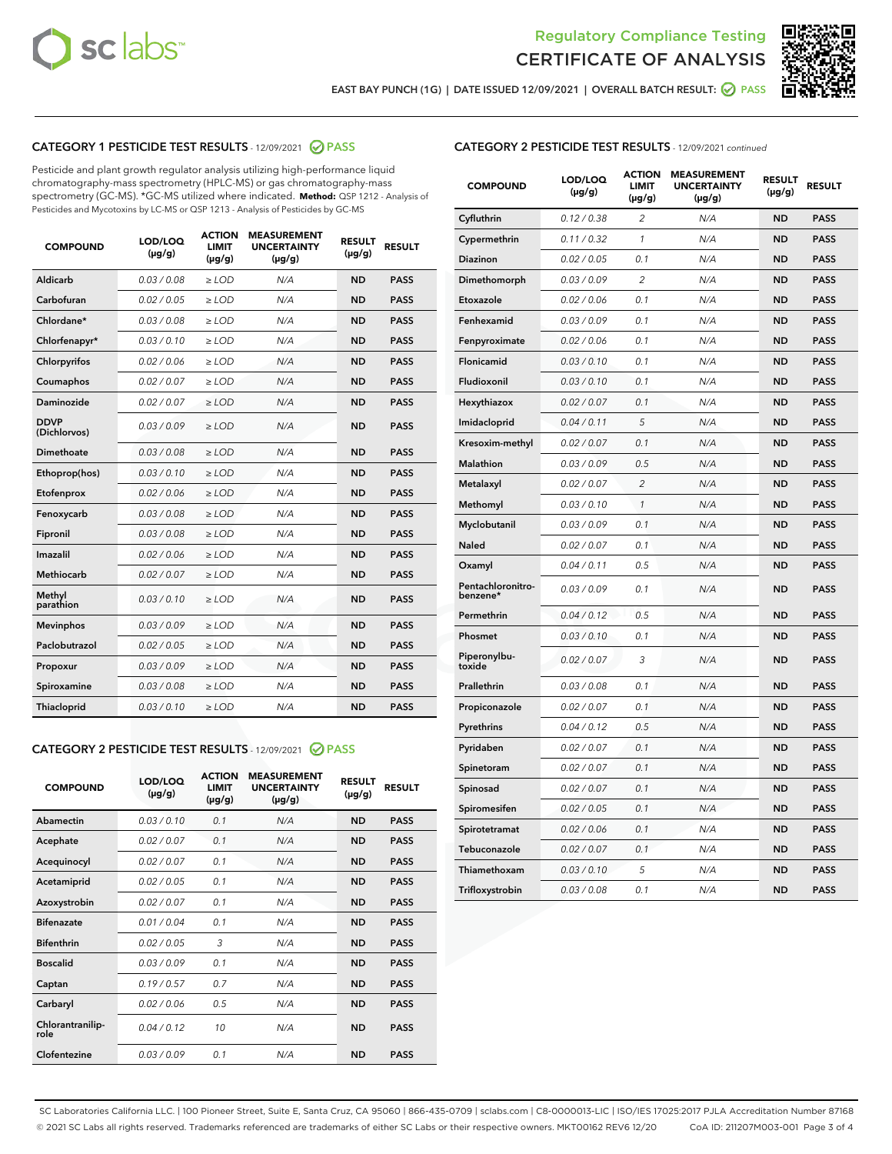



EAST BAY PUNCH (1G) | DATE ISSUED 12/09/2021 | OVERALL BATCH RESULT:  $\bigcirc$  PASS

# CATEGORY 1 PESTICIDE TEST RESULTS - 12/09/2021 2 PASS

Pesticide and plant growth regulator analysis utilizing high-performance liquid chromatography-mass spectrometry (HPLC-MS) or gas chromatography-mass spectrometry (GC-MS). \*GC-MS utilized where indicated. **Method:** QSP 1212 - Analysis of Pesticides and Mycotoxins by LC-MS or QSP 1213 - Analysis of Pesticides by GC-MS

| <b>COMPOUND</b>             | LOD/LOQ<br>$(\mu g/g)$ | <b>ACTION</b><br><b>LIMIT</b><br>$(\mu g/g)$ | <b>MEASUREMENT</b><br><b>UNCERTAINTY</b><br>$(\mu g/g)$ | <b>RESULT</b><br>$(\mu g/g)$ | <b>RESULT</b> |
|-----------------------------|------------------------|----------------------------------------------|---------------------------------------------------------|------------------------------|---------------|
| Aldicarb                    | 0.03 / 0.08            | $\ge$ LOD                                    | N/A                                                     | <b>ND</b>                    | <b>PASS</b>   |
| Carbofuran                  | 0.02/0.05              | $>$ LOD                                      | N/A                                                     | <b>ND</b>                    | <b>PASS</b>   |
| Chlordane*                  | 0.03 / 0.08            | $\ge$ LOD                                    | N/A                                                     | <b>ND</b>                    | <b>PASS</b>   |
| Chlorfenapyr*               | 0.03/0.10              | $\ge$ LOD                                    | N/A                                                     | <b>ND</b>                    | <b>PASS</b>   |
| Chlorpyrifos                | 0.02 / 0.06            | $\ge$ LOD                                    | N/A                                                     | <b>ND</b>                    | <b>PASS</b>   |
| Coumaphos                   | 0.02 / 0.07            | $>$ LOD                                      | N/A                                                     | <b>ND</b>                    | <b>PASS</b>   |
| Daminozide                  | 0.02 / 0.07            | $\ge$ LOD                                    | N/A                                                     | <b>ND</b>                    | <b>PASS</b>   |
| <b>DDVP</b><br>(Dichlorvos) | 0.03/0.09              | $\ge$ LOD                                    | N/A                                                     | <b>ND</b>                    | <b>PASS</b>   |
| <b>Dimethoate</b>           | 0.03 / 0.08            | $\ge$ LOD                                    | N/A                                                     | <b>ND</b>                    | <b>PASS</b>   |
| Ethoprop(hos)               | 0.03/0.10              | $>$ LOD                                      | N/A                                                     | <b>ND</b>                    | <b>PASS</b>   |
| Etofenprox                  | 0.02 / 0.06            | $\ge$ LOD                                    | N/A                                                     | <b>ND</b>                    | <b>PASS</b>   |
| Fenoxycarb                  | 0.03 / 0.08            | $>$ LOD                                      | N/A                                                     | <b>ND</b>                    | <b>PASS</b>   |
| Fipronil                    | 0.03 / 0.08            | $\ge$ LOD                                    | N/A                                                     | <b>ND</b>                    | <b>PASS</b>   |
| Imazalil                    | 0.02 / 0.06            | $\ge$ LOD                                    | N/A                                                     | <b>ND</b>                    | <b>PASS</b>   |
| <b>Methiocarb</b>           | 0.02 / 0.07            | $\ge$ LOD                                    | N/A                                                     | <b>ND</b>                    | <b>PASS</b>   |
| Methyl<br>parathion         | 0.03/0.10              | $>$ LOD                                      | N/A                                                     | <b>ND</b>                    | <b>PASS</b>   |
| <b>Mevinphos</b>            | 0.03/0.09              | $>$ LOD                                      | N/A                                                     | <b>ND</b>                    | <b>PASS</b>   |
| Paclobutrazol               | 0.02 / 0.05            | $\ge$ LOD                                    | N/A                                                     | <b>ND</b>                    | <b>PASS</b>   |
| Propoxur                    | 0.03/0.09              | $\ge$ LOD                                    | N/A                                                     | <b>ND</b>                    | <b>PASS</b>   |
| Spiroxamine                 | 0.03 / 0.08            | $\ge$ LOD                                    | N/A                                                     | <b>ND</b>                    | <b>PASS</b>   |
| <b>Thiacloprid</b>          | 0.03/0.10              | $\ge$ LOD                                    | N/A                                                     | <b>ND</b>                    | <b>PASS</b>   |
|                             |                        |                                              |                                                         |                              |               |

# CATEGORY 2 PESTICIDE TEST RESULTS - 12/09/2021 @ PASS

| <b>COMPOUND</b>          | LOD/LOO<br>$(\mu g/g)$ | <b>ACTION</b><br>LIMIT<br>$(\mu g/g)$ | <b>MEASUREMENT</b><br><b>UNCERTAINTY</b><br>$(\mu g/g)$ | <b>RESULT</b><br>$(\mu g/g)$ | <b>RESULT</b> |  |
|--------------------------|------------------------|---------------------------------------|---------------------------------------------------------|------------------------------|---------------|--|
| Abamectin                | 0.03/0.10              | 0.1                                   | N/A                                                     | <b>ND</b>                    | <b>PASS</b>   |  |
| Acephate                 | 0.02/0.07              | 0.1                                   | N/A                                                     | <b>ND</b>                    | <b>PASS</b>   |  |
| Acequinocyl              | 0.02/0.07              | 0.1                                   | N/A                                                     | <b>ND</b>                    | <b>PASS</b>   |  |
| Acetamiprid              | 0.02/0.05              | 0.1                                   | N/A                                                     | <b>ND</b>                    | <b>PASS</b>   |  |
| Azoxystrobin             | 0.02/0.07              | 0.1                                   | N/A                                                     | <b>ND</b>                    | <b>PASS</b>   |  |
| <b>Bifenazate</b>        | 0.01/0.04              | 0.1                                   | N/A                                                     | <b>ND</b>                    | <b>PASS</b>   |  |
| <b>Bifenthrin</b>        | 0.02/0.05              | 3                                     | N/A                                                     | <b>ND</b>                    | <b>PASS</b>   |  |
| <b>Boscalid</b>          | 0.03/0.09              | 0.1                                   | N/A                                                     | <b>ND</b>                    | <b>PASS</b>   |  |
| Captan                   | 0.19/0.57              | 0.7                                   | N/A                                                     | <b>ND</b>                    | <b>PASS</b>   |  |
| Carbaryl                 | 0.02/0.06              | 0.5                                   | N/A                                                     | <b>ND</b>                    | <b>PASS</b>   |  |
| Chlorantranilip-<br>role | 0.04/0.12              | 10                                    | N/A                                                     | <b>ND</b>                    | <b>PASS</b>   |  |
| Clofentezine             | 0.03/0.09              | 0.1                                   | N/A                                                     | <b>ND</b>                    | <b>PASS</b>   |  |

| <b>CATEGORY 2 PESTICIDE TEST RESULTS</b> - 12/09/2021 continued |
|-----------------------------------------------------------------|
|-----------------------------------------------------------------|

| <b>COMPOUND</b>               | LOD/LOQ<br>(µg/g) | <b>ACTION</b><br>LIMIT<br>$(\mu g/g)$ | <b>MEASUREMENT</b><br><b>UNCERTAINTY</b><br>$(\mu g/g)$ | <b>RESULT</b><br>(µg/g) | <b>RESULT</b> |
|-------------------------------|-------------------|---------------------------------------|---------------------------------------------------------|-------------------------|---------------|
| Cyfluthrin                    | 0.12 / 0.38       | 2                                     | N/A                                                     | <b>ND</b>               | <b>PASS</b>   |
| Cypermethrin                  | 0.11 / 0.32       | $\mathcal{I}$                         | N/A                                                     | <b>ND</b>               | <b>PASS</b>   |
| Diazinon                      | 0.02 / 0.05       | 0.1                                   | N/A                                                     | <b>ND</b>               | <b>PASS</b>   |
| Dimethomorph                  | 0.03 / 0.09       | 2                                     | N/A                                                     | <b>ND</b>               | <b>PASS</b>   |
| Etoxazole                     | 0.02 / 0.06       | 0.1                                   | N/A                                                     | <b>ND</b>               | <b>PASS</b>   |
| Fenhexamid                    | 0.03 / 0.09       | 0.1                                   | N/A                                                     | <b>ND</b>               | <b>PASS</b>   |
| Fenpyroximate                 | 0.02 / 0.06       | 0.1                                   | N/A                                                     | <b>ND</b>               | <b>PASS</b>   |
| Flonicamid                    | 0.03 / 0.10       | 0.1                                   | N/A                                                     | <b>ND</b>               | <b>PASS</b>   |
| Fludioxonil                   | 0.03 / 0.10       | 0.1                                   | N/A                                                     | <b>ND</b>               | <b>PASS</b>   |
| Hexythiazox                   | 0.02 / 0.07       | 0.1                                   | N/A                                                     | <b>ND</b>               | <b>PASS</b>   |
| Imidacloprid                  | 0.04 / 0.11       | 5                                     | N/A                                                     | <b>ND</b>               | <b>PASS</b>   |
| Kresoxim-methyl               | 0.02 / 0.07       | 0.1                                   | N/A                                                     | <b>ND</b>               | <b>PASS</b>   |
| Malathion                     | 0.03 / 0.09       | 0.5                                   | N/A                                                     | <b>ND</b>               | <b>PASS</b>   |
| Metalaxyl                     | 0.02 / 0.07       | $\overline{c}$                        | N/A                                                     | <b>ND</b>               | <b>PASS</b>   |
| Methomyl                      | 0.03 / 0.10       | $\mathcal{I}$                         | N/A                                                     | <b>ND</b>               | <b>PASS</b>   |
| Myclobutanil                  | 0.03 / 0.09       | 0.1                                   | N/A                                                     | <b>ND</b>               | <b>PASS</b>   |
| Naled                         | 0.02 / 0.07       | 0.1                                   | N/A                                                     | <b>ND</b>               | <b>PASS</b>   |
| Oxamyl                        | 0.04 / 0.11       | 0.5                                   | N/A                                                     | <b>ND</b>               | <b>PASS</b>   |
| Pentachloronitro-<br>benzene* | 0.03/0.09         | 0.1                                   | N/A                                                     | <b>ND</b>               | <b>PASS</b>   |
| Permethrin                    | 0.04 / 0.12       | 0.5                                   | N/A                                                     | <b>ND</b>               | <b>PASS</b>   |
| Phosmet                       | 0.03 / 0.10       | 0.1                                   | N/A                                                     | <b>ND</b>               | <b>PASS</b>   |
| Piperonylbu-<br>toxide        | 0.02 / 0.07       | 3                                     | N/A                                                     | <b>ND</b>               | <b>PASS</b>   |
| Prallethrin                   | 0.03 / 0.08       | 0.1                                   | N/A                                                     | <b>ND</b>               | <b>PASS</b>   |
| Propiconazole                 | 0.02 / 0.07       | 0.1                                   | N/A                                                     | <b>ND</b>               | <b>PASS</b>   |
| Pyrethrins                    | 0.04 / 0.12       | 0.5                                   | N/A                                                     | <b>ND</b>               | <b>PASS</b>   |
| Pyridaben                     | 0.02 / 0.07       | 0.1                                   | N/A                                                     | <b>ND</b>               | <b>PASS</b>   |
| Spinetoram                    | 0.02 / 0.07       | 0.1                                   | N/A                                                     | <b>ND</b>               | <b>PASS</b>   |
| Spinosad                      | 0.02 / 0.07       | 0.1                                   | N/A                                                     | <b>ND</b>               | <b>PASS</b>   |
| Spiromesifen                  | 0.02 / 0.05       | 0.1                                   | N/A                                                     | <b>ND</b>               | <b>PASS</b>   |
| Spirotetramat                 | 0.02 / 0.06       | 0.1                                   | N/A                                                     | <b>ND</b>               | <b>PASS</b>   |
| Tebuconazole                  | 0.02 / 0.07       | 0.1                                   | N/A                                                     | <b>ND</b>               | <b>PASS</b>   |
| Thiamethoxam                  | 0.03 / 0.10       | 5                                     | N/A                                                     | <b>ND</b>               | <b>PASS</b>   |
| Trifloxystrobin               | 0.03 / 0.08       | 0.1                                   | N/A                                                     | <b>ND</b>               | <b>PASS</b>   |

SC Laboratories California LLC. | 100 Pioneer Street, Suite E, Santa Cruz, CA 95060 | 866-435-0709 | sclabs.com | C8-0000013-LIC | ISO/IES 17025:2017 PJLA Accreditation Number 87168 © 2021 SC Labs all rights reserved. Trademarks referenced are trademarks of either SC Labs or their respective owners. MKT00162 REV6 12/20 CoA ID: 211207M003-001 Page 3 of 4